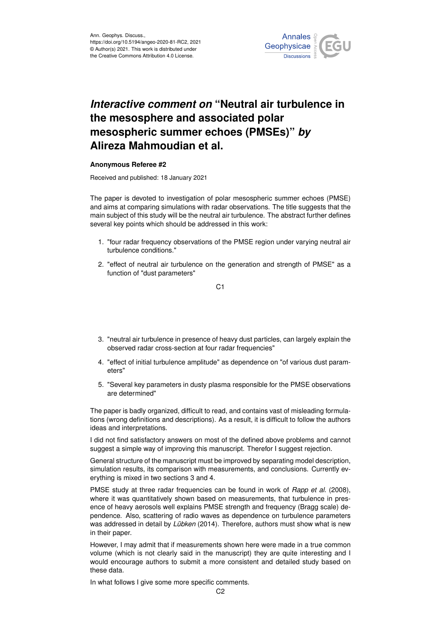

## *Interactive comment on* **"Neutral air turbulence in the mesosphere and associated polar mesospheric summer echoes (PMSEs)"** *by* **Alireza Mahmoudian et al.**

## **Anonymous Referee #2**

Received and published: 18 January 2021

The paper is devoted to investigation of polar mesospheric summer echoes (PMSE) and aims at comparing simulations with radar observations. The title suggests that the main subject of this study will be the neutral air turbulence. The abstract further defines several key points which should be addressed in this work:

- 1. "four radar frequency observations of the PMSE region under varying neutral air turbulence conditions."
- 2. "effect of neutral air turbulence on the generation and strength of PMSE" as a function of "dust parameters"

C1

- 3. "neutral air turbulence in presence of heavy dust particles, can largely explain the observed radar cross-section at four radar frequencies"
- 4. "effect of initial turbulence amplitude" as dependence on "of various dust parameters"
- 5. "Several key parameters in dusty plasma responsible for the PMSE observations are determined"

The paper is badly organized, difficult to read, and contains vast of misleading formulations (wrong definitions and descriptions). As a result, it is difficult to follow the authors ideas and interpretations.

I did not find satisfactory answers on most of the defined above problems and cannot suggest a simple way of improving this manuscript. Therefor I suggest rejection.

General structure of the manuscript must be improved by separating model description, simulation results, its comparison with measurements, and conclusions. Currently everything is mixed in two sections 3 and 4.

PMSE study at three radar frequencies can be found in work of *Rapp et al.* (2008), where it was quantitatively shown based on measurements, that turbulence in presence of heavy aerosols well explains PMSE strength and frequency (Bragg scale) dependence. Also, scattering of radio waves as dependence on turbulence parameters was addressed in detail by *Lübken* (2014). Therefore, authors must show what is new in their paper.

However, I may admit that if measurements shown here were made in a true common volume (which is not clearly said in the manuscript) they are quite interesting and I would encourage authors to submit a more consistent and detailed study based on these data.

In what follows I give some more specific comments.